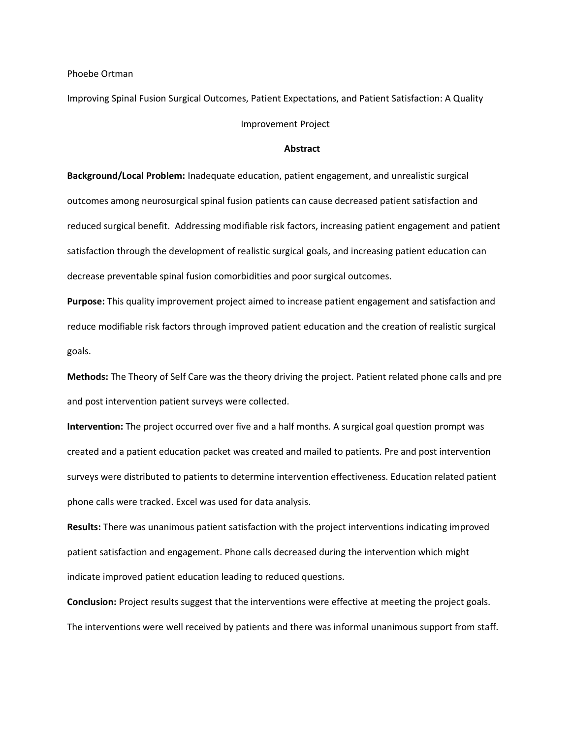Phoebe Ortman

Improving Spinal Fusion Surgical Outcomes, Patient Expectations, and Patient Satisfaction: A Quality Improvement Project

## **Abstract**

**Background/Local Problem:** Inadequate education, patient engagement, and unrealistic surgical outcomes among neurosurgical spinal fusion patients can cause decreased patient satisfaction and reduced surgical benefit. Addressing modifiable risk factors, increasing patient engagement and patient satisfaction through the development of realistic surgical goals, and increasing patient education can decrease preventable spinal fusion comorbidities and poor surgical outcomes.

**Purpose:** This quality improvement project aimed to increase patient engagement and satisfaction and reduce modifiable risk factors through improved patient education and the creation of realistic surgical goals.

**Methods:** The Theory of Self Care was the theory driving the project. Patient related phone calls and pre and post intervention patient surveys were collected.

**Intervention:** The project occurred over five and a half months. A surgical goal question prompt was created and a patient education packet was created and mailed to patients. Pre and post intervention surveys were distributed to patients to determine intervention effectiveness. Education related patient phone calls were tracked. Excel was used for data analysis.

**Results:** There was unanimous patient satisfaction with the project interventions indicating improved patient satisfaction and engagement. Phone calls decreased during the intervention which might indicate improved patient education leading to reduced questions.

**Conclusion:** Project results suggest that the interventions were effective at meeting the project goals. The interventions were well received by patients and there was informal unanimous support from staff.